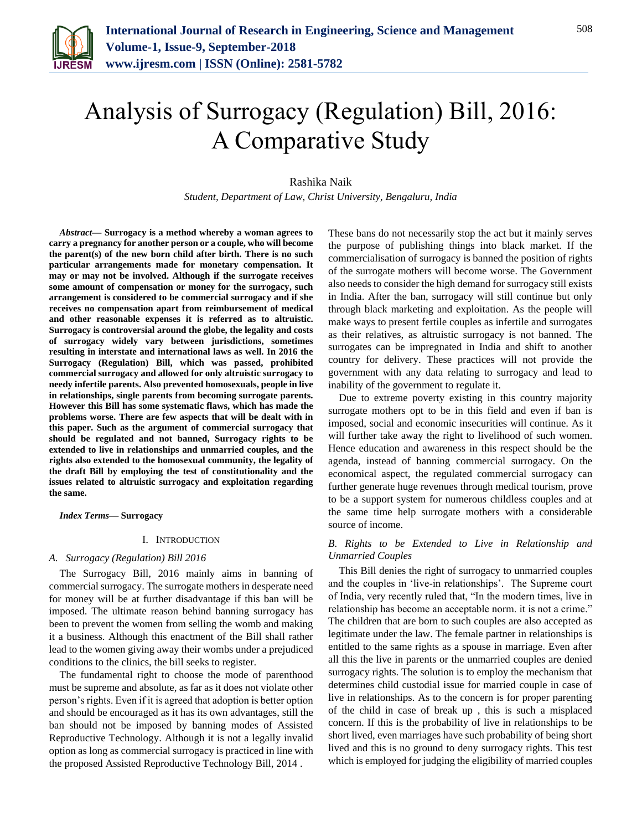

# Analysis of Surrogacy (Regulation) Bill, 2016: A Comparative Study

Rashika Naik

*Student, Department of Law, Christ University, Bengaluru, India*

*Abstract***— Surrogacy is a method whereby a woman agrees to carry a pregnancy for another person or a couple, who will become the parent(s) of the new born child after birth. There is no such particular arrangements made for monetary compensation. It may or may not be involved. Although if the surrogate receives some amount of compensation or money for the surrogacy, such arrangement is considered to be commercial surrogacy and if she receives no compensation apart from reimbursement of medical and other reasonable expenses it is referred as to altruistic. Surrogacy is controversial around the globe, the legality and costs of surrogacy widely vary between jurisdictions, sometimes resulting in interstate and international laws as well. In 2016 the Surrogacy (Regulation) Bill, which was passed, prohibited commercial surrogacy and allowed for only altruistic surrogacy to needy infertile parents. Also prevented homosexuals, people in live in relationships, single parents from becoming surrogate parents. However this Bill has some systematic flaws, which has made the problems worse. There are few aspects that will be dealt with in this paper. Such as the argument of commercial surrogacy that should be regulated and not banned, Surrogacy rights to be extended to live in relationships and unmarried couples, and the rights also extended to the homosexual community, the legality of the draft Bill by employing the test of constitutionality and the issues related to altruistic surrogacy and exploitation regarding the same.**

*Index Terms***— Surrogacy**

### I. INTRODUCTION

#### *A. Surrogacy (Regulation) Bill 2016*

The Surrogacy Bill, 2016 mainly aims in banning of commercial surrogacy. The surrogate mothers in desperate need for money will be at further disadvantage if this ban will be imposed. The ultimate reason behind banning surrogacy has been to prevent the women from selling the womb and making it a business. Although this enactment of the Bill shall rather lead to the women giving away their wombs under a prejudiced conditions to the clinics, the bill seeks to register.

The fundamental right to choose the mode of parenthood must be supreme and absolute, as far as it does not violate other person's rights. Even if it is agreed that adoption is better option and should be encouraged as it has its own advantages, still the ban should not be imposed by banning modes of Assisted Reproductive Technology. Although it is not a legally invalid option as long as commercial surrogacy is practiced in line with the proposed Assisted Reproductive Technology Bill, 2014 .

These bans do not necessarily stop the act but it mainly serves the purpose of publishing things into black market. If the commercialisation of surrogacy is banned the position of rights of the surrogate mothers will become worse. The Government also needs to consider the high demand for surrogacy still exists in India. After the ban, surrogacy will still continue but only through black marketing and exploitation. As the people will make ways to present fertile couples as infertile and surrogates as their relatives, as altruistic surrogacy is not banned. The surrogates can be impregnated in India and shift to another country for delivery. These practices will not provide the government with any data relating to surrogacy and lead to inability of the government to regulate it.

Due to extreme poverty existing in this country majority surrogate mothers opt to be in this field and even if ban is imposed, social and economic insecurities will continue. As it will further take away the right to livelihood of such women. Hence education and awareness in this respect should be the agenda, instead of banning commercial surrogacy. On the economical aspect, the regulated commercial surrogacy can further generate huge revenues through medical tourism, prove to be a support system for numerous childless couples and at the same time help surrogate mothers with a considerable source of income.

# *B. Rights to be Extended to Live in Relationship and Unmarried Couples*

This Bill denies the right of surrogacy to unmarried couples and the couples in 'live-in relationships'. The Supreme court of India, very recently ruled that, "In the modern times, live in relationship has become an acceptable norm. it is not a crime." The children that are born to such couples are also accepted as legitimate under the law. The female partner in relationships is entitled to the same rights as a spouse in marriage. Even after all this the live in parents or the unmarried couples are denied surrogacy rights. The solution is to employ the mechanism that determines child custodial issue for married couple in case of live in relationships. As to the concern is for proper parenting of the child in case of break up , this is such a misplaced concern. If this is the probability of live in relationships to be short lived, even marriages have such probability of being short lived and this is no ground to deny surrogacy rights. This test which is employed for judging the eligibility of married couples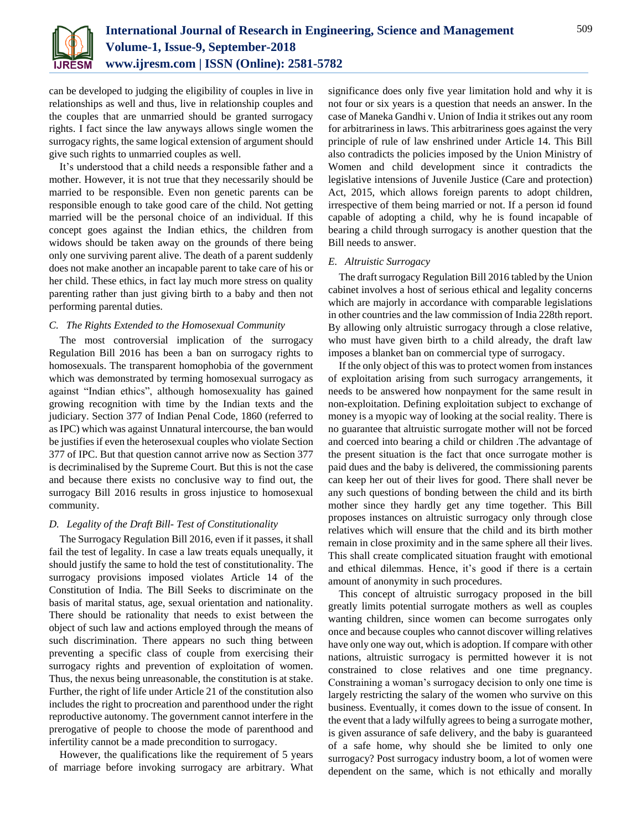

can be developed to judging the eligibility of couples in live in relationships as well and thus, live in relationship couples and the couples that are unmarried should be granted surrogacy rights. I fact since the law anyways allows single women the surrogacy rights, the same logical extension of argument should give such rights to unmarried couples as well.

It's understood that a child needs a responsible father and a mother. However, it is not true that they necessarily should be married to be responsible. Even non genetic parents can be responsible enough to take good care of the child. Not getting married will be the personal choice of an individual. If this concept goes against the Indian ethics, the children from widows should be taken away on the grounds of there being only one surviving parent alive. The death of a parent suddenly does not make another an incapable parent to take care of his or her child. These ethics, in fact lay much more stress on quality parenting rather than just giving birth to a baby and then not performing parental duties.

## *C. The Rights Extended to the Homosexual Community*

The most controversial implication of the surrogacy Regulation Bill 2016 has been a ban on surrogacy rights to homosexuals. The transparent homophobia of the government which was demonstrated by terming homosexual surrogacy as against "Indian ethics", although homosexuality has gained growing recognition with time by the Indian texts and the judiciary. Section 377 of Indian Penal Code, 1860 (referred to as IPC) which was against Unnatural intercourse, the ban would be justifies if even the heterosexual couples who violate Section 377 of IPC. But that question cannot arrive now as Section 377 is decriminalised by the Supreme Court. But this is not the case and because there exists no conclusive way to find out, the surrogacy Bill 2016 results in gross injustice to homosexual community.

## *D. Legality of the Draft Bill- Test of Constitutionality*

The Surrogacy Regulation Bill 2016, even if it passes, it shall fail the test of legality. In case a law treats equals unequally, it should justify the same to hold the test of constitutionality. The surrogacy provisions imposed violates Article 14 of the Constitution of India. The Bill Seeks to discriminate on the basis of marital status, age, sexual orientation and nationality. There should be rationality that needs to exist between the object of such law and actions employed through the means of such discrimination. There appears no such thing between preventing a specific class of couple from exercising their surrogacy rights and prevention of exploitation of women. Thus, the nexus being unreasonable, the constitution is at stake. Further, the right of life under Article 21 of the constitution also includes the right to procreation and parenthood under the right reproductive autonomy. The government cannot interfere in the prerogative of people to choose the mode of parenthood and infertility cannot be a made precondition to surrogacy.

However, the qualifications like the requirement of 5 years of marriage before invoking surrogacy are arbitrary. What significance does only five year limitation hold and why it is not four or six years is a question that needs an answer. In the case of Maneka Gandhi v. Union of India it strikes out any room for arbitrariness in laws. This arbitrariness goes against the very principle of rule of law enshrined under Article 14. This Bill also contradicts the policies imposed by the Union Ministry of Women and child development since it contradicts the legislative intensions of Juvenile Justice (Care and protection) Act, 2015, which allows foreign parents to adopt children, irrespective of them being married or not. If a person id found capable of adopting a child, why he is found incapable of bearing a child through surrogacy is another question that the Bill needs to answer.

### *E. Altruistic Surrogacy*

The draft surrogacy Regulation Bill 2016 tabled by the Union cabinet involves a host of serious ethical and legality concerns which are majorly in accordance with comparable legislations in other countries and the law commission of India 228th report. By allowing only altruistic surrogacy through a close relative, who must have given birth to a child already, the draft law imposes a blanket ban on commercial type of surrogacy.

If the only object of this was to protect women from instances of exploitation arising from such surrogacy arrangements, it needs to be answered how nonpayment for the same result in non-exploitation. Defining exploitation subject to exchange of money is a myopic way of looking at the social reality. There is no guarantee that altruistic surrogate mother will not be forced and coerced into bearing a child or children .The advantage of the present situation is the fact that once surrogate mother is paid dues and the baby is delivered, the commissioning parents can keep her out of their lives for good. There shall never be any such questions of bonding between the child and its birth mother since they hardly get any time together. This Bill proposes instances on altruistic surrogacy only through close relatives which will ensure that the child and its birth mother remain in close proximity and in the same sphere all their lives. This shall create complicated situation fraught with emotional and ethical dilemmas. Hence, it's good if there is a certain amount of anonymity in such procedures.

This concept of altruistic surrogacy proposed in the bill greatly limits potential surrogate mothers as well as couples wanting children, since women can become surrogates only once and because couples who cannot discover willing relatives have only one way out, which is adoption. If compare with other nations, altruistic surrogacy is permitted however it is not constrained to close relatives and one time pregnancy. Constraining a woman's surrogacy decision to only one time is largely restricting the salary of the women who survive on this business. Eventually, it comes down to the issue of consent. In the event that a lady wilfully agrees to being a surrogate mother, is given assurance of safe delivery, and the baby is guaranteed of a safe home, why should she be limited to only one surrogacy? Post surrogacy industry boom, a lot of women were dependent on the same, which is not ethically and morally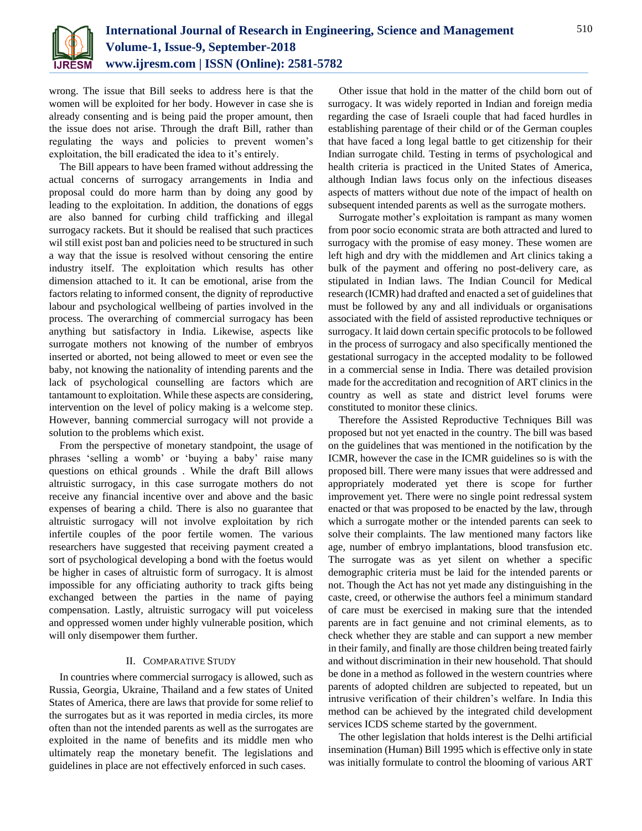

wrong. The issue that Bill seeks to address here is that the women will be exploited for her body. However in case she is already consenting and is being paid the proper amount, then the issue does not arise. Through the draft Bill, rather than regulating the ways and policies to prevent women's exploitation, the bill eradicated the idea to it's entirely.

The Bill appears to have been framed without addressing the actual concerns of surrogacy arrangements in India and proposal could do more harm than by doing any good by leading to the exploitation. In addition, the donations of eggs are also banned for curbing child trafficking and illegal surrogacy rackets. But it should be realised that such practices wil still exist post ban and policies need to be structured in such a way that the issue is resolved without censoring the entire industry itself. The exploitation which results has other dimension attached to it. It can be emotional, arise from the factors relating to informed consent, the dignity of reproductive labour and psychological wellbeing of parties involved in the process. The overarching of commercial surrogacy has been anything but satisfactory in India. Likewise, aspects like surrogate mothers not knowing of the number of embryos inserted or aborted, not being allowed to meet or even see the baby, not knowing the nationality of intending parents and the lack of psychological counselling are factors which are tantamount to exploitation. While these aspects are considering, intervention on the level of policy making is a welcome step. However, banning commercial surrogacy will not provide a solution to the problems which exist.

From the perspective of monetary standpoint, the usage of phrases 'selling a womb' or 'buying a baby' raise many questions on ethical grounds . While the draft Bill allows altruistic surrogacy, in this case surrogate mothers do not receive any financial incentive over and above and the basic expenses of bearing a child. There is also no guarantee that altruistic surrogacy will not involve exploitation by rich infertile couples of the poor fertile women. The various researchers have suggested that receiving payment created a sort of psychological developing a bond with the foetus would be higher in cases of altruistic form of surrogacy. It is almost impossible for any officiating authority to track gifts being exchanged between the parties in the name of paying compensation. Lastly, altruistic surrogacy will put voiceless and oppressed women under highly vulnerable position, which will only disempower them further.

## II. COMPARATIVE STUDY

In countries where commercial surrogacy is allowed, such as Russia, Georgia, Ukraine, Thailand and a few states of United States of America, there are laws that provide for some relief to the surrogates but as it was reported in media circles, its more often than not the intended parents as well as the surrogates are exploited in the name of benefits and its middle men who ultimately reap the monetary benefit. The legislations and guidelines in place are not effectively enforced in such cases.

Other issue that hold in the matter of the child born out of surrogacy. It was widely reported in Indian and foreign media regarding the case of Israeli couple that had faced hurdles in establishing parentage of their child or of the German couples that have faced a long legal battle to get citizenship for their Indian surrogate child. Testing in terms of psychological and health criteria is practiced in the United States of America, although Indian laws focus only on the infectious diseases aspects of matters without due note of the impact of health on subsequent intended parents as well as the surrogate mothers.

Surrogate mother's exploitation is rampant as many women from poor socio economic strata are both attracted and lured to surrogacy with the promise of easy money. These women are left high and dry with the middlemen and Art clinics taking a bulk of the payment and offering no post-delivery care, as stipulated in Indian laws. The Indian Council for Medical research (ICMR) had drafted and enacted a set of guidelines that must be followed by any and all individuals or organisations associated with the field of assisted reproductive techniques or surrogacy. It laid down certain specific protocols to be followed in the process of surrogacy and also specifically mentioned the gestational surrogacy in the accepted modality to be followed in a commercial sense in India. There was detailed provision made for the accreditation and recognition of ART clinics in the country as well as state and district level forums were constituted to monitor these clinics.

Therefore the Assisted Reproductive Techniques Bill was proposed but not yet enacted in the country. The bill was based on the guidelines that was mentioned in the notification by the ICMR, however the case in the ICMR guidelines so is with the proposed bill. There were many issues that were addressed and appropriately moderated yet there is scope for further improvement yet. There were no single point redressal system enacted or that was proposed to be enacted by the law, through which a surrogate mother or the intended parents can seek to solve their complaints. The law mentioned many factors like age, number of embryo implantations, blood transfusion etc. The surrogate was as yet silent on whether a specific demographic criteria must be laid for the intended parents or not. Though the Act has not yet made any distinguishing in the caste, creed, or otherwise the authors feel a minimum standard of care must be exercised in making sure that the intended parents are in fact genuine and not criminal elements, as to check whether they are stable and can support a new member in their family, and finally are those children being treated fairly and without discrimination in their new household. That should be done in a method as followed in the western countries where parents of adopted children are subjected to repeated, but un intrusive verification of their children's welfare. In India this method can be achieved by the integrated child development services ICDS scheme started by the government.

The other legislation that holds interest is the Delhi artificial insemination (Human) Bill 1995 which is effective only in state was initially formulate to control the blooming of various ART